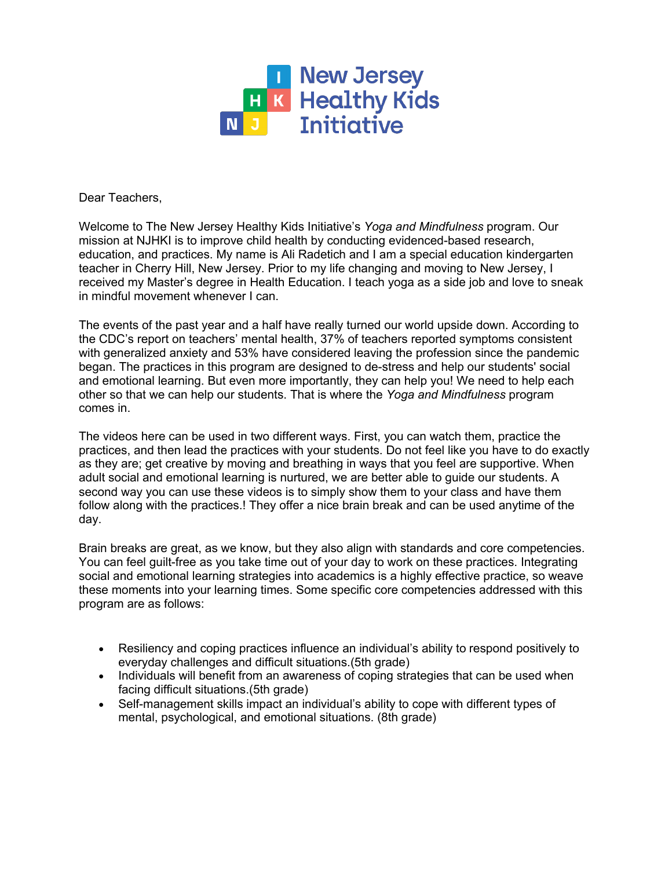

Dear Teachers,

 Welcome to The New Jersey Healthy Kids Initiative's *Yoga and Mindfulness* program. Our mission at NJHKI is to improve child health by conducting evidenced-based research, education, and practices. My name is Ali Radetich and I am a special education kindergarten teacher in Cherry Hill, New Jersey. Prior to my life changing and moving to New Jersey, I in mindful movement whenever I can. received my Master's degree in Health Education. I teach yoga as a side job and love to sneak

 The events of the past year and a half have really turned our world upside down. According to the CDC's report on teachers' mental health, 37% of teachers reported symptoms consistent with generalized anxiety and 53% have considered leaving the profession since the pandemic began. The practices in this program are designed to de-stress and help our students' social and emotional learning. But even more importantly, they can help you! We need to help each other so that we can help our students. That is where the *Yoga and Mindfulness* program comes in.

 The videos here can be used in two different ways. First, you can watch them, practice the practices, and then lead the practices with your students. Do not feel like you have to do exactly as they are; get creative by moving and breathing in ways that you feel are supportive. When adult social and emotional learning is nurtured, we are better able to guide our students. A second way you can use these videos is to simply show them to your class and have them follow along with the practices.! They offer a nice brain break and can be used anytime of the day.

 Brain breaks are great, as we know, but they also align with standards and core competencies. You can feel guilt-free as you take time out of your day to work on these practices. Integrating social and emotional learning strategies into academics is a highly effective practice, so weave these moments into your learning times. Some specific core competencies addressed with this program are as follows:

- • Resiliency and coping practices influence an individual's ability to respond positively to everyday challenges and difficult situations.(5th grade)
- Individuals will benefit from an awareness of coping strategies that can be used when facing difficult situations.(5th grade)
- • Self-management skills impact an individual's ability to cope with different types of mental, psychological, and emotional situations. (8th grade)